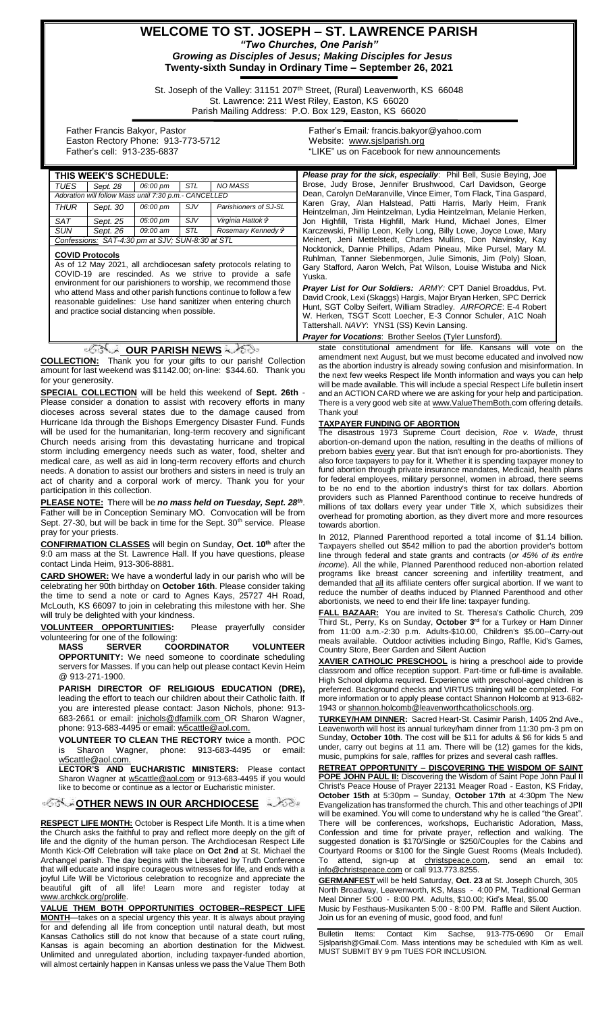## **WELCOME TO ST. JOSEPH – ST. LAWRENCE PARISH** *"Two Churches, One Parish" Growing as Disciples of Jesus; Making Disciples for Jesus*

**Twenty-sixth Sunday in Ordinary Time – September 26, 2021**

St. Joseph of the Valley: 31151 207<sup>th</sup> Street, (Rural) Leavenworth, KS 66048 St. Lawrence: 211 West Riley, Easton, KS 66020 Parish Mailing Address: P.O. Box 129, Easton, KS 66020

Yuska.

 Father Francis Bakyor, Pastor Easton Rectory Phone: 913-773-5712 Father's cell: 913-235-6837

Father's Email*:* francis.bakyor@yahoo.com Website: [www.sjslparish.org](http://www.sjslparish.org/) "LIKE" us on Facebook for new announcements

Brose, Judy Brose, Jennifer Brushwood, Carl Davidson, George Dean, Carolyn DeMaranville, Vince Eimer, Tom Flack, Tina Gaspard, Karen Gray, Alan Halstead, Patti Harris, Marly Heim, Frank Heintzelman, Jim Heintzelman, Lydia Heintzelman, Melanie Herken, Jon Highfill, Trista Highfill, Mark Hund, Michael Jones, Elmer Karczewski, Phillip Leon, Kelly Long, Billy Lowe, Joyce Lowe, Mary Meinert, Jeni Mettelstedt, Charles Mullins, Don Navinsky, Kay Nocktonick, Dannie Phillips, Adam Pineau, Mike Pursel, Mary M. Ruhlman, Tanner Siebenmorgen, Julie Simonis, Jim (Poly) Sloan, Gary Stafford, Aaron Welch, Pat Wilson, Louise Wistuba and Nick

| THIS WEEK'S SCHEDULE:                                 |          |          |            |                                | <b>Please pray for the sick, especially:</b> Phil Bell, Susie Beying, Joe                                                      |
|-------------------------------------------------------|----------|----------|------------|--------------------------------|--------------------------------------------------------------------------------------------------------------------------------|
| TUES                                                  | Sept. 28 | 06:00 pm | <b>STL</b> | NO MASS                        | Brose, Judy Brose, Jennifer Brushwood, Carl Davidson, George                                                                   |
| Adoration will follow Mass until 7:30 p.m.- CANCELLED |          |          |            |                                | Dean, Carolyn DeMaranville, Vince Eimer, Tom Flack, Tina Gaspard,                                                              |
| <b>THUR</b>                                           | Sept. 30 | 06:00 pm | SJV        | Parishioners of SJ-SL          | Karen Gray, Alan Halstead, Patti Harris, Marly Heim, Frank<br>Heintzelman, Jim Heintzelman, Lydia Heintzelman, Melanie Herken, |
| SAT                                                   | Sept. 25 | 05:00 pm | SJV        | Virginia Hattok i <sup>≽</sup> | Jon Highfill, Trista Highfill, Mark Hund, Michael Jones, Elmer                                                                 |
| <b>SUN</b>                                            | Sept. 26 | 09:00 am | <b>STL</b> | Rosemary Kennedy &             | Karczewski, Phillip Leon, Kelly Long, Billy Lowe, Joyce Lowe, Mary                                                             |
| Confessions: SAT-4:30 pm at SJV; SUN-8:30 at STL      |          |          |            |                                | Meinert, Jeni Mettelstedt, Charles Mullins, Don Navinsky, Kay                                                                  |
|                                                       |          |          |            |                                | Nocktonick Dannie Phillins, Adam Pineau, Mike Pursel, Mary M.                                                                  |

#### **COVID Protocols**

As of 12 May 2021, all archdiocesan safety protocols relating to COVID-19 are rescinded. As we strive to provide a safe environment for our parishioners to worship, we recommend those who attend Mass and other parish functions continue to follow a few reasonable guidelines: Use hand sanitizer when entering church and practice social distancing when possible.

#### **OUR PARISH NEWS**

**COLLECTION:** Thank you for your gifts to our parish! Collection amount for last weekend was \$1142.00; on-line: \$344.60. Thank you for your generosity.

**SPECIAL COLLECTION** will be held this weekend of **Sept. 26th** - Please consider a donation to assist with recovery efforts in many dioceses across several states due to the damage caused from Hurricane Ida through the Bishops Emergency Disaster Fund. Funds will be used for the humanitarian, long-term recovery and significant Church needs arising from this devastating hurricane and tropical storm including emergency needs such as water, food, shelter and medical care, as well as aid in long-term recovery efforts and church needs. A donation to assist our brothers and sisters in need is truly an act of charity and a corporal work of mercy. Thank you for your participation in this collection.

**PLEASE NOTE:** There will be *no mass held on Tuesday, Sept. 28th* . Father will be in Conception Seminary MO. Convocation will be from Sept. 27-30, but will be back in time for the Sept. 30<sup>th</sup> service. Please pray for your priests.

**CONFIRMATION CLASSES** will begin on Sunday, **Oct. 10th** after the **POIT HALL CONDERGED FOR THE STARK SHOW AND SERVIS CONDER**<br>9:0 am mass at the St. Lawrence Hall. If you have questions, please contact Linda Heim, 913-306-8881.

**CARD SHOWER:** We have a wonderful lady in our parish who will be celebrating her 90th birthday on **October 16th**. Please consider taking the time to send a note or card to Agnes Kays, 25727 4H Road, McLouth, KS 66097 to join in celebrating this milestone with her. She will truly be delighted with your kindness.

**VOLUNTEER OPPORTUNITIES:** Please prayerfully consider volunteering for one of the following:<br>MASS SERVER CO

**COORDINATOR VOLUNTEER OPPORTUNITY:** We need someone to coordinate scheduling servers for Masses. If you can help out please contact Kevin Heim @ 913-271-1900.

**PARISH DIRECTOR OF RELIGIOUS EDUCATION (DRE),** leading the effort to teach our children about their Catholic faith. If you are interested please contact: Jason Nichols, phone: 913 683-2661 or email: [jnichols@dfamilk.com](mailto:jnichols@dfamilk.com)\_OR Sharon Wagner, phone: 913-683-4495 or email: [w5cattle@aol.com.](mailto:w5cattle@aol.com)

**VOLUNTEER TO CLEAN THE RECTORY** twice a month. POC is Sharon Wagner, phone: 913-683-4495 or email: [w5cattle@aol.com.](mailto:w5cattle@aol.com)

**LECTOR'S AND EUCHARISTIC MINISTERS:** Please contact Sharon Wagner at [w5cattle@aol.com](mailto:w5cattle@aol.com) or 913-683-4495 if you would like to become or continue as a lector or Eucharistic minister.

#### **[O](http://www.google.com/url?sa=i&rct=j&q=&esrc=s&source=images&cd=&cad=rja&uact=8&ved=0CAcQjRxqFQoTCL3M6dfYlskCFQfIYwodK-sMqA&url=http://www.clipartpanda.com/categories/corner-scroll-design&psig=AFQjCNEcNGu-GRs-N_tcfj31hDOCKS7EqQ&ust=1447823402338642)PPORT ARCHOICESE**

**RESPECT LIFE MONTH:** October is Respect Life Month. It is a time when the Church asks the faithful to pray and reflect more deeply on the gift of life and the dignity of the human person. The Archdiocesan Respect Life Month Kick-Off Celebration will take place on **Oct 2nd** at St. Michael the Archangel parish. The day begins with the Liberated by Truth Conference that will educate and inspire courageous witnesses for life, and ends with a joyful Life Will be Victorious celebration to recognize and appreciate the beautiful gift of all life! Learn more and register today at [www.archkck.org/prolife.](http://www.archkck.org/prolife)

**VALUE THEM BOTH OPPORTUNITIES OCTOBER--RESPECT LIFE MONTH**—takes on a special urgency this year. It is always about praying for and defending all life from conception until natural death, but most Kansas Catholics still do not know that because of a state court ruling, Kansas is again becoming an abortion destination for the Midwest. Unlimited and unregulated abortion, including taxpayer-funded abortion, will almost certainly happen in Kansas unless we pass the Value Them Both

state constitutional amendment for life. Kansans will vote on the amendment next August, but we must become educated and involved now *Prayer List for Our Soldiers: ARMY:* CPT Daniel Broaddus, Pvt. David Crook, Lexi (Skaggs) Hargis, Major Bryan Herken, SPC Derrick Hunt, SGT Colby Seifert, William Stradley. *AIRFORCE*: E-4 Robert W. Herken, TSGT Scott Loecher, E-3 Connor Schuler, A1C Noah Tattershall. *NAVY*: YNS1 (SS) Kevin Lansing. *Prayer for Vocations*: Brother Seelos (Tyler Lunsford).

as the abortion industry is already sowing confusion and misinformation. In the next few weeks Respect life Month information and ways you can help will be made available. This will include a special Respect Life bulletin insert and an ACTION CARD where we are asking for your help and participation. There is a very good web site at www.ValueThemBoth.com offering details. Thank you!

#### **TAXPAYER FUNDING OF ABORTION**

The disastrous 1973 Supreme Court decision, *Roe v. Wade*, thrust abortion-on-demand upon the nation, resulting in the deaths of millions of preborn babies every year. But that isn't enough for pro-abortionists. They also force taxpayers to pay for it. Whether it is spending taxpayer money to fund abortion through private insurance mandates, Medicaid, health plans for federal employees, military personnel, women in abroad, there seems to be no end to the abortion industry's thirst for tax dollars. Abortion providers such as Planned Parenthood continue to receive hundreds of millions of tax dollars every year under Title X, which subsidizes their overhead for promoting abortion, as they divert more and more resources towards abortion.

In 2012, Planned Parenthood reported a total income of \$1.14 billion. Taxpayers shelled out \$542 million to pad the abortion provider's bottom line through federal and state grants and contracts (*or 45% of its entire income*). All the while, Planned Parenthood reduced non-abortion related programs like breast cancer screening and infertility treatment, and demanded that **all** its affiliate centers offer surgical abortion. If we want to reduce the number of deaths induced by Planned Parenthood and other abortionists, we need to end their life line: taxpayer funding.

**FALL BAZAAR:** You are invited to St. Theresa's Catholic Church, 209 Third St., Perry, Ks on Sunday, **October 3rd** for a Turkey or Ham Dinner from 11:00 a.m.-2:30 p.m. Adults-\$10.00, Children's \$5.00--Carry-out meals available. Outdoor activities including Bingo, Raffle, Kid's Games, Country Store, Beer Garden and Silent Auction

**XAVIER CATHOLIC PRESCHOOL** is hiring a preschool aide to provide classroom and office reception support. Part-time or full-time is available. High School diploma required. Experience with preschool-aged children is preferred. Background checks and VIRTUS training will be completed. For more information or to apply please contact Shannon Holcomb at 913-682 1943 o[r shannon.holcomb@leavenworthcatholicschools.org.](mailto:shannon.holcomb@leavenworthcatholicschools.org)

**TURKEY/HAM DINNER:** Sacred Heart-St. Casimir Parish, 1405 2nd Ave., Leavenworth will host its annual turkey/ham dinner from 11:30 pm-3 pm on Sunday, **October 10th**. The cost will be \$11 for adults & \$6 for kids 5 and under, carry out begins at 11 am. There will be (12) games for the kids, music, pumpkins for sale, raffles for prizes and several cash raffles.

**RETREAT OPPORTUNITY – DISCOVERING THE WISDOM OF SAINT POPE JOHN PAUL II:** Discovering the Wisdom of Saint Pope John Paul II Christ's Peace House of Prayer 22131 Meager Road - Easton, KS Friday, **October 15th** at 5:30pm – Sunday, **October 17th** at 4:30pm The New Evangelization has transformed the church. This and other teachings of JPII will be examined. You will come to understand why he is called "the Great". There will be conferences, workshops, Eucharistic Adoration, Mass, Confession and time for private prayer, reflection and walking. The suggested donation is \$170/Single or \$250/Couples for the Cabins and Courtyard Rooms or \$100 for the Single Guest Rooms (Meals Included). attend, sign-up at christspeace.com, send an info@christspeace.com or call 913.773.8255.

**GERMANFEST** will be held Saturday, **Oct. 23** at St. Joseph Church, 305 North Broadway, Leavenworth, KS, Mass - 4:00 PM, Traditional German Meal Dinner 5:00 - 8:00 PM. Adults, \$10.00; Kid's Meal, \$5.00 Music by Festhaus-Musikanten 5:00 - 8:00 PM. Raffle and Silent Auction. Join us for an evening of music, good food, and fun!

Bulletin Items: Contact Kim Sachse, 913-775-0690 Or Email Sjslparish@Gmail.Com. Mass intentions may be scheduled with Kim as well. MUST SUBMIT BY 9 pm TUES FOR INCLUSION.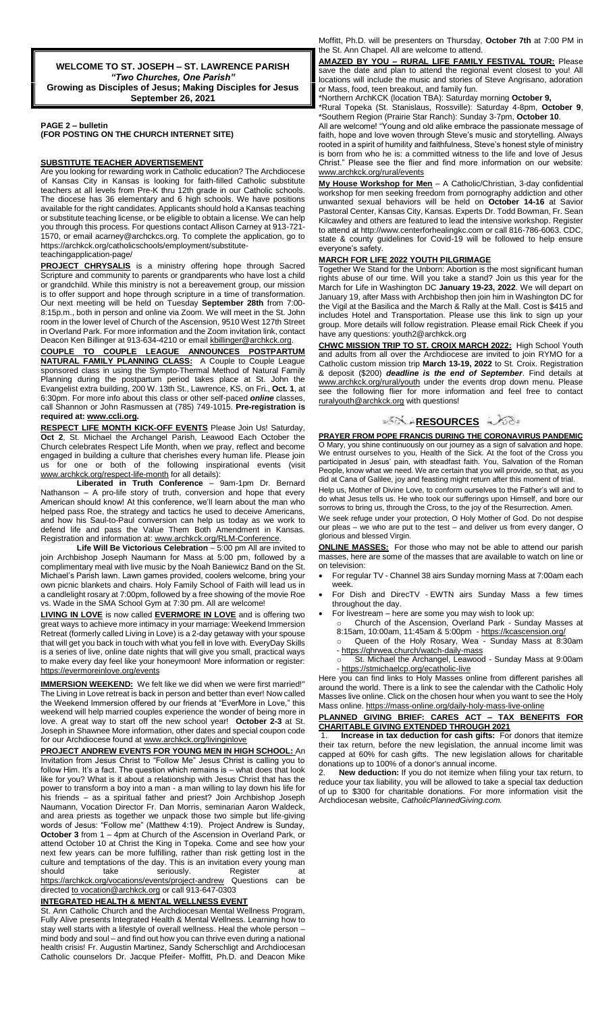**WELCOME TO ST. JOSEPH – ST. LAWRENCE PARISH** *"Two Churches, One Parish"* **Growing as Disciples of Jesus; Making Disciples for Jesus September 26, 2021**

**PAGE 2 – bulletin (FOR POSTING ON THE CHURCH INTERNET SITE)**

#### **SUBSTITUTE TEACHER ADVERTISEMENT**

Are you looking for rewarding work in Catholic education? The Archdiocese of Kansas City in Kansas is looking for faith-filled Catholic substitute teachers at all levels from Pre-K thru 12th grade in our Catholic schools. The diocese has 36 elementary and 6 high schools. We have positions available for the right candidates. Applicants should hold a Kansas teaching or substitute teaching license, or be eligible to obtain a license. We can help you through this process. For questions contact Allison Carney at 913-721- 1570, or email acarney@archckcs.org. To complete the application, go to https://archkck.org/catholicschools/employment/substitute-

## teachingapplication-page/

**PROJECT CHRYSALIS** is a ministry offering hope through Sacred Scripture and community to parents or grandparents who have lost a child or grandchild. While this ministry is not a bereavement group, our mission is to offer support and hope through scripture in a time of transformation. Our next meeting will be held on Tuesday **September 28th** from 7:00- 8:15p.m., both in person and online via Zoom. We will meet in the St. John room in the lower level of Church of the Ascension, 9510 West 127th Street in Overland Park. For more information and the Zoom invitation link, contact Deacon Ken Billinger at 913-634-4210 or email **kbillinger@archkck.org.** 

**COUPLE TO COUPLE LEAGUE ANNOUNCES POSTPARTUM NATURAL FAMILY PLANNING CLASS:** A Couple to Couple League sponsored class in using the Sympto-Thermal Method of Natural Family Planning during the postpartum period takes place at St. John the Evangelist extra building, 200 W. 13th St., Lawrence, KS, on Fri., **Oct. 1**, at 6:30pm. For more info about this class or other self-paced *online* classes, call Shannon or John Rasmussen at (785) 749-1015. **Pre-registration is required at[: www.ccli.org.](http://www.ccli.org/)**

**RESPECT LIFE MONTH KICK-OFF EVENTS** Please Join Us! Saturday, **Oct 2**, St. Michael the Archangel Parish, Leawood Each October the Church celebrates Respect Life Month, when we pray, reflect and become engaged in building a culture that cherishes every human life. Please join us for one or both of the following inspirational events (visit www.archkck.org/respect-life-month for all details):

**Liberated in Truth Conference** – 9am-1pm Dr. Bernard Nathanson – A pro-life story of truth, conversion and hope that every American should know! At this conference, we'll learn about the man who helped pass Roe, the strategy and tactics he used to deceive Americans, and how his Saul-to-Paul conversion can help us today as we work to defend life and pass the Value Them Both Amendment in Kansas. Registration and information at: [www.archkck.org/RLM-Conference.](http://www.archkck.org/RLM-Conference)

**Life Will Be Victorious Celebration** – 5:00 pm All are invited to join Archbishop Joseph Naumann for Mass at 5:00 pm, followed by a complimentary meal with live music by the Noah Baniewicz Band on the St. Michael's Parish lawn. Lawn games provided, coolers welcome, bring your own picnic blankets and chairs. Holy Family School of Faith will lead us in a candlelight rosary at 7:00pm, followed by a free showing of the movie Roe vs. Wade in the SMA School Gym at 7:30 pm. All are welcome!

**LIVING IN LOVE** is now called **EVERMORE IN LOVE** and is offering two great ways to achieve more intimacy in your marriage: Weekend Immersion Retreat (formerly called Living in Love) is a 2-day getaway with your spouse that will get you back in touch with what you fell in love with. EveryDay Skills is a series of live, online date nights that will give you small, practical ways to make every day feel like your honeymoon! More information or register: https://evermoreinlove.org/events

**IMMERSION WEEKEND:** We felt like we did when we were first married!" The Living in Love retreat is back in person and better than ever! Now called the Weekend Immersion offered by our friends at "EverMore in Love," this weekend will help married couples experience the wonder of being more in love. A great way to start off the new school year! **October 2-3** at St. Joseph in Shawnee More information, other dates and special coupon code for our Archdiocese found a[t www.archkck.org/livinginlove](http://www.archkck.org/livinginlove)

#### **PROJECT ANDREW EVENTS FOR YOUNG MEN IN HIGH SCHOOL:** An

Invitation from Jesus Christ to "Follow Me" Jesus Christ is calling you to follow Him. It's a fact. The question which remains is – what does that look like for you? What is it about a relationship with Jesus Christ that has the power to transform a boy into a man - a man willing to lay down his life for his friends – as a spiritual father and priest? Join Archbishop Joseph Naumann, Vocation Director Fr. Dan Morris, seminarian Aaron Waldeck, and area priests as together we unpack those two simple but life-giving words of Jesus: "Follow me" (Matthew 4:19). Project Andrew is Sunday, **October 3** from 1 – 4pm at Church of the Ascension in Overland Park, or attend October 10 at Christ the King in Topeka. Come and see how your next few years can be more fulfilling, rather than risk getting lost in the culture and temptations of the day. This is an invitation every young man should take seriously. Register at https://archkck.org/vocations/events/project-andrew Questions can be directed to vocation@archkck.org or call 913-647-0303

#### f **INTEGRATED HEALTH & MENTAL WELLNESS EVENT**

St. Ann Catholic Church and the Archdiocesan Mental Wellness Program, Fully Alive presents Integrated Health & Mental Wellness. Learning how to stay well starts with a lifestyle of overall wellness. Heal the whole person – mind body and soul – and find out how you can thrive even during a national health crisis! Fr. Augustin Martinez, Sandy Scherschligt and Archdiocesan Catholic counselors Dr. Jacque Pfeifer- Moffitt, Ph.D. and Deacon Mike

Moffitt, Ph.D. will be presenters on Thursday, **October 7th** at 7:00 PM in the St. Ann Chapel. All are welcome to attend.

**AMAZED BY YOU – RURAL LIFE FAMILY FESTIVAL TOUR:** Please save the date and plan to attend the regional event closest to you! All locations will include the music and stories of Steve Angrisano, adoration or Mass, food, teen breakout, and family fun.

\*Northern ArchKCK (location TBA): Saturday morning **October 9,**

\*Rural Topeka (St. Stanislaus, Rossville): Saturday 4-8pm, **October 9**, \*Southern Region (Prairie Star Ranch): Sunday 3-7pm, **October 10**.

All are welcome! "Young and old alike embrace the passionate message of faith, hope and love woven through Steve's music and storytelling. Always rooted in a spirit of humility and faithfulness, Steve's honest style of ministry is born from who he is: a committed witness to the life and love of Jesus Christ." Please see the flier and find more information on our website: [www.archkck.org/rural/events](http://www.archkck.org/rural/events)

**My House Workshop for Men** – A Catholic/Christian, 3-day confidential workshop for men seeking freedom from pornography addiction and other unwanted sexual behaviors will be held on **October 14-16** at Savior Pastoral Center, Kansas City, Kansas. Experts Dr. Todd Bowman, Fr. Sean Kilcawley and others are featured to lead the intensive workshop. Register to attend at http://www.centerforhealingkc.com or call 816-786-6063. CDC, state & county guidelines for Covid-19 will be followed to help ensure everyone's safety.

#### **MARCH FOR LIFE 2022 YOUTH PILGRIMAGE**

Together We Stand for the Unborn: Abortion is the most significant human rights abuse of our time. Will you take a stand? Join us this year for the March for Life in Washington DC **January 19-23, 2022**. We will depart on January 19, after Mass with Archbishop then join him in Washington DC for the Vigil at the Basilica and the March & Rally at the Mall. Cost is \$415 and includes Hotel and Transportation. Please use this link to sign up your group. More details will follow registration. Please email Rick Cheek if you have any questions: youth2@archkck.org

**CHWC MISSION TRIP TO ST. CROIX MARCH 2022:** High School Youth and adults from all over the Archdiocese are invited to join RYMO for a Catholic custom mission trip **March 13-19, 2022** to St. Croix. Registration & deposit (\$200) *deadline is the end of September*. Find details at www.archkck.org/rural/youth under the events drop down menu. Please see the following flier for more information and feel free to contact ruralyouth@archkck.org with questions!

#### ঞ**ি∖া[R](http://www.google.com/url?sa=i&rct=j&q=&esrc=s&source=images&cd=&cad=rja&uact=8&ved=0CAcQjRxqFQoTCL3M6dfYlskCFQfIYwodK-sMqA&url=http://www.clipartpanda.com/categories/corner-scroll-design&psig=AFQjCNEcNGu-GRs-N_tcfj31hDOCKS7EqQ&ust=1447823402338642)ESOURCES** ন্⁄িটা

**PRAYER FROM POPE FRANCIS DURING THE CORONAVIRUS PANDEMIC** O Mary, you shine continuously on our journey as a sign of salvation and hope. We entrust ourselves to you, Health of the Sick. At the foot of the Cross you participated in Jesus' pain, with steadfast faith. You, Salvation of the Roman People, know what we need. We are certain that you will provide, so that, as you did at Cana of Galilee, joy and feasting might return after this moment of trial.

Help us, Mother of Divine Love, to conform ourselves to the Father's will and to do what Jesus tells us. He who took our sufferings upon Himself, and bore our sorrows to bring us, through the Cross, to the joy of the Resurrection. Amen.

We seek refuge under your protection, O Holy Mother of God. Do not despise our pleas – we who are put to the test – and deliver us from every danger, O glorious and blessed Virgin.

**ONLINE MASSES:** For those who may not be able to attend our parish masses, here are some of the masses that are available to watch on line or on television:

- For regular TV Channel 38 airs Sunday morning Mass at 7:00am each week.
- For Dish and DirecTV EWTN airs Sunday Mass a few times throughout the day.
	- For livestream here are some you may wish to look up:
	- o Church of the Ascension, Overland Park Sunday Masses at 8:15am, 10:00am, 11:45am & 5:00pm - <https://kcascension.org/>
		- o Queen of the Holy Rosary, Wea Sunday Mass at 8:30am - <https://qhrwea.church/watch-daily-mass>

o St. Michael the Archangel, Leawood - Sunday Mass at 9:00am - <https://stmichaelcp.org/ecatholic-live>

Here you can find links to Holy Masses online from different parishes all around the world. There is a link to see the calendar with the Catholic Holy Masses live online. Click on the chosen hour when you want to see the Holy Mass online[. https://mass-online.org/daily-holy-mass-live-online](https://mass-online.org/daily-holy-mass-live-online)

**PLANNED GIVING BRIEF: CARES ACT – TAX BENEFITS FOR CHARITABLE GIVING EXTENDED THROUGH 2021**

1. **Increase in tax deduction for cash gifts:** For donors that itemize their tax return, before the new legislation, the annual income limit was capped at 60% for cash gifts. The new legislation allows for charitable donations up to 100% of a donor's annual income.

2. **New deduction:** If you do not itemize when filing your tax return, to reduce your tax liability, you will be allowed to take a special tax deduction of up to \$300 for charitable donations. For more information visit the Archdiocesan website, *CatholicPlannedGiving.com.*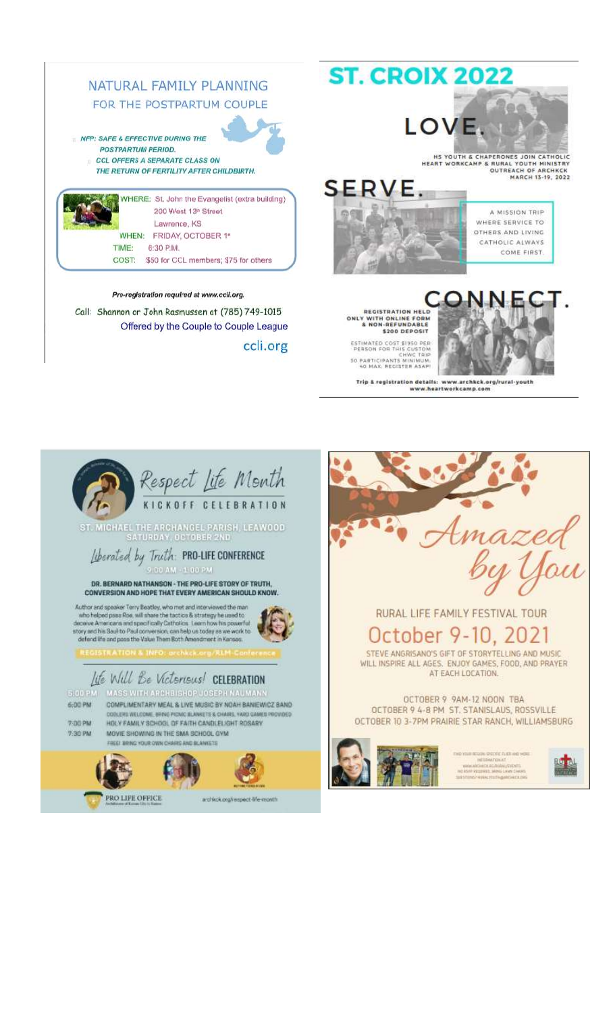





ty A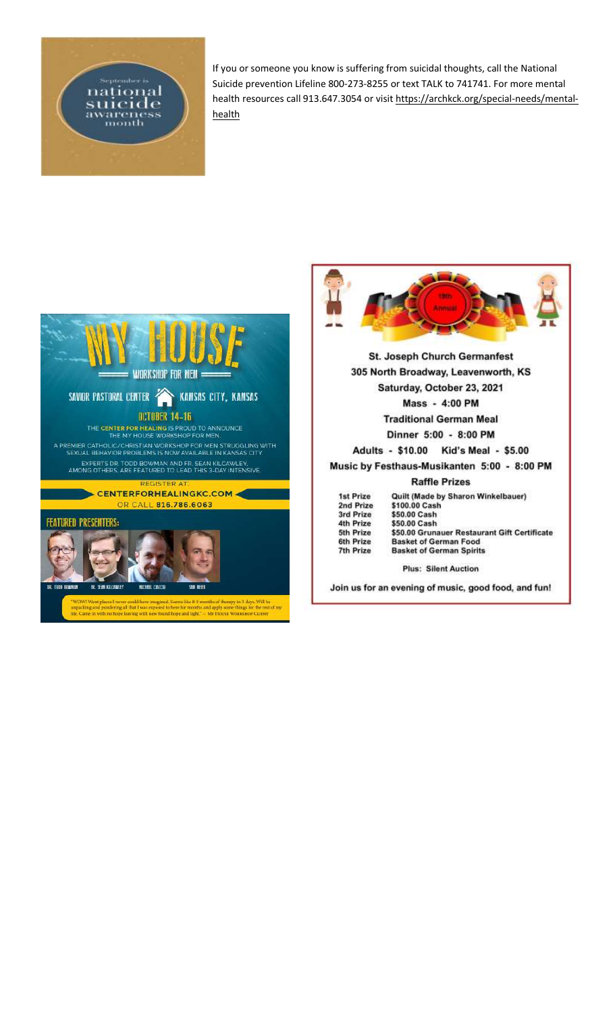

If you or someone you know is suffering from suicidal thoughts, call the National Suicide prevention Lifeline 800-273-8255 or text TALK to 741741. For more mental health resources call 913.647.3054 or visi[t https://archkck.org/special-needs/mental](https://archkck.org/special-needs/mental-health)[health](https://archkck.org/special-needs/mental-health)



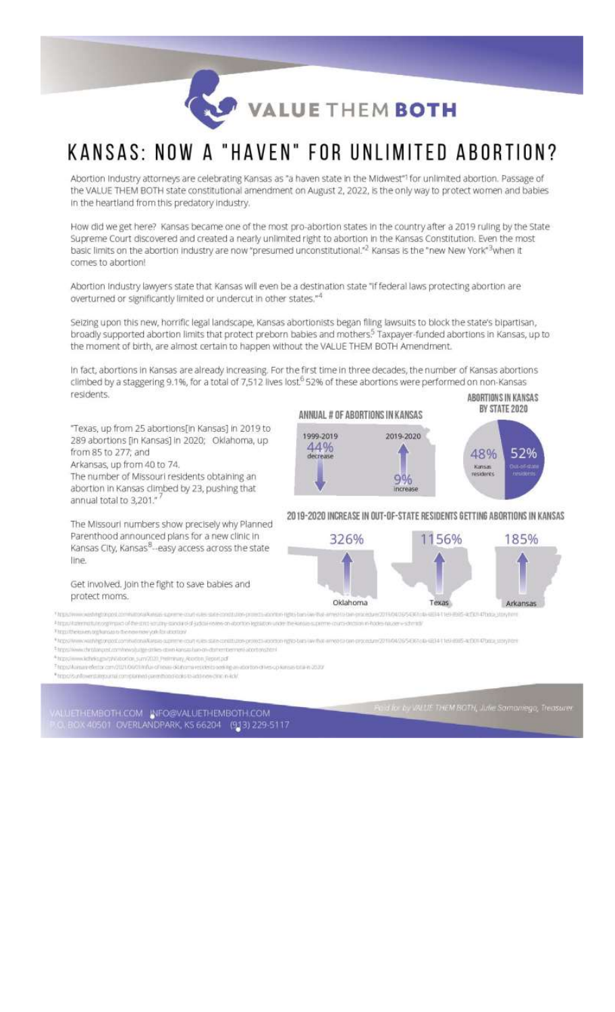VALUE THEM BOTH

# KANSAS: NOW A "HAVEN" FOR UNLIMITED ABORTION?

Abortion Industry attorneys are celebrating Kansas as "a haven state in the Midwest"<sup>1</sup> for unlimited abortion. Passage of the VALUE THEM BOTH state constitutional amendment on August 2, 2022, is the only way to protect women and babies In the heartland from this predatory industry.

How did we get here? Kansas became one of the most pro-abortion states in the country after a 2019 ruling by the State Supreme Court discovered and created a nearly unlimited right to abortion in the Kansas Constitution. Even the most basic limits on the abortion industry are now "presumed unconstitutional."2 Kansas is the "new New York"3when it comes to abortion!

Abortion Industry lawyers state that Kansas will even be a destination state "If federal laws protecting abortion are overturned or significantly limited or undercut in other states."4

Seizing upon this new, horrific legal landscape, Kansas abortionists began filing lawsuits to block the state's bipartisan, broadly supported abortion limits that protect preborn babies and mothers.<sup>5</sup> Taxpayer-funded abortions in Kansas, up to the moment of birth, are almost certain to happen without the VALUE THEM BOTH Amendment.

In fact, abortions in Kansas are already increasing. For the first time in three decades, the number of Kansas abortions climbed by a staggering 9.1%, for a total of 7,512 lives lost<sup>6</sup> 52% of these abortions were performed on non-Kansas residents. ABORTIONS IN KANSAS

"Texas, up from 25 abortions[in Kansas] in 2019 to 289 abortions [in Kansas] in 2020; Oklahoma, up from 85 to 277; and

Arkansas, up from 40 to 74.

The number of Missouri residents obtaining an abortion in Kansas climbed by 23, pushing that annual total to 3,201."

The Missouri numbers show precisely why Planned Parenthood announced plans for a new clinic in Kansas City, Kansas<sup>8</sup>--easy access across the state line.

#### Get involved. Join the fight to save bables and protect moms.

#### ANNUAL # OF ABORTIONS IN KANSAS



#### 2019-2020 INCREASE IN OUT-OF-STATE RESIDENTS GETTING ABORTIONS IN KANSAS



**Transfer** www.edutoronged.com/without kings a prime crurt rules state-contitutory movets accommi lights bars law that amyof to baryon in turn 2014 04/36/5434 to \*https://laterinatium.org/insies of the strict southy-stinolinoid-judicial-review-on-abortion-legisliche under the kini esupreme courts doction in hodes dozen eschmidt

Throuthe lowery aghansas to the new rang-painter and tary \*htps://www.wairing.orgod.com/hational/larges-suprime-sport-rules-state-continuitin-pro 1010/01/0003010/2711/04/265/E6300-EE3411/E9-E925-AD0147000L50ty701f

<sup>1</sup> https://www.christopast.com/news/juite-grikes-gown-kansas/jup-on-distremberment-abortons/toni

\*htps://www.kithrks.gov.philosocion\_sum/2020\_Prelminary\_Acadon\_Report.pdf

Thrps://keiseredestor.com/2021/00/01/thfue-of-researcht/nomenciatesise.com/par orton drives co forest total in 2020

\* https://sunfowershings.untai.com/planned-parenthons-index-to-index-on-in-in-in-in-

-<br>20. BOX 40501 CVERLANDPARK, KS 66204 (913) 229-5117<br>20. BOX 40501 CVERLANDPARK, KS 66204 (913) 229-5117

Faid for by VALUE THEM BOTH, Julie Samoniego, Treasurer

BY STATE 2020